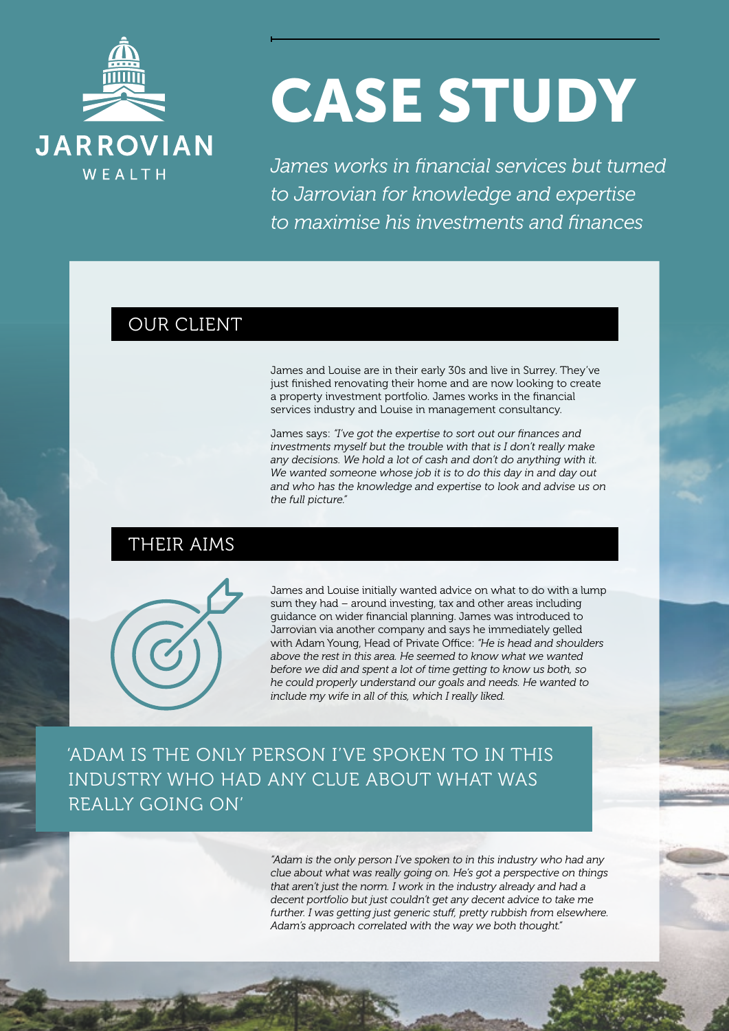

# CASE STUDY

*James works in financial services but turned to Jarrovian for knowledge and expertise to maximise his investments and finances*

#### OUR CLIENT

James and Louise are in their early 30s and live in Surrey. They've just finished renovating their home and are now looking to create a property investment portfolio. James works in the financial services industry and Louise in management consultancy.

James says: *"I've got the expertise to sort out our finances and investments myself but the trouble with that is I don't really make any decisions. We hold a lot of cash and don't do anything with it. We wanted someone whose job it is to do this day in and day out and who has the knowledge and expertise to look and advise us on the full picture."*

## THEIR AIMS



James and Louise initially wanted advice on what to do with a lump sum they had – around investing, tax and other areas including guidance on wider financial planning. James was introduced to Jarrovian via another company and says he immediately gelled with Adam Young, Head of Private Office: *"He is head and shoulders above the rest in this area. He seemed to know what we wanted before we did and spent a lot of time getting to know us both, so he could properly understand our goals and needs. He wanted to include my wife in all of this, which I really liked.*

'ADAM IS THE ONLY PERSON I'VE SPOKEN TO IN THIS INDUSTRY WHO HAD ANY CLUE ABOUT WHAT WAS REALLY GOING ON'

> *"Adam is the only person I've spoken to in this industry who had any clue about what was really going on. He's got a perspective on things that aren't just the norm. I work in the industry already and had a decent portfolio but just couldn't get any decent advice to take me further. I was getting just generic stuff, pretty rubbish from elsewhere. Adam's approach correlated with the way we both thought."*